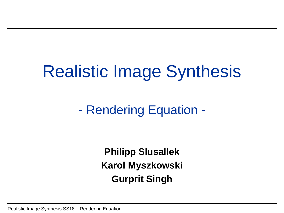# Realistic Image Synthesis

- Rendering Equation -

**Philipp Slusallek Karol Myszkowski Gurprit Singh**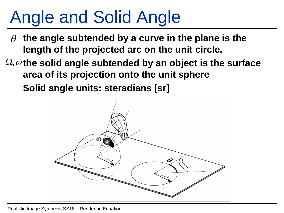# Angle and Solid Angle

- **the angle subtended by a curve in the plane is the length of the projected arc on the unit circle.**  $\boldsymbol{\rho}$
- $\Omega, \omega$  the solid angle subtended by an object is the surface **area of its projection onto the unit sphere**

**Solid angle units: steradians [sr]** 

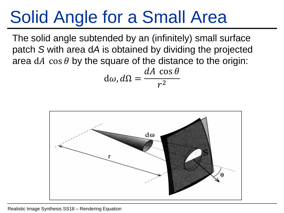## Solid Angle for a Small Area

The solid angle subtended by an (infinitely) small surface patch *S* with area d*A* is obtained by dividing the projected area dA cos  $\theta$  by the square of the distance to the origin:

$$
d\omega, d\Omega = \frac{dA \, \cos \theta}{r^2}
$$

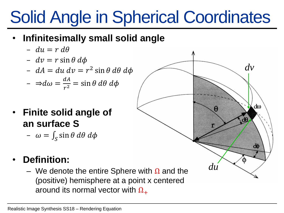# Solid Angle in Spherical Coordinates

- **Infinitesimally small solid angle**
	- $du = r d\theta$
	- $dv = r \sin \theta d\phi$
	- $dA = du dv = r^2 \sin \theta d\theta d\phi$
	- $\Rightarrow d\omega = \frac{dA}{d\omega}$  $rac{dA}{r^2} = \sin \theta \, d\theta \, d\phi$
- **Finite solid angle of an surface S**
	- $-\omega = \int_S \sin \theta \, d\theta \, d\phi$

### • **Definition:**

– We denote the entire Sphere with  $\Omega$  and the (positive) hemisphere at a point x centered around its normal vector with  $\Omega_{+}$ 

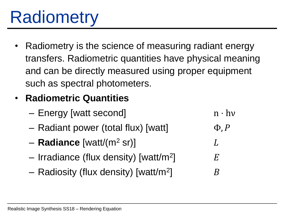# **Radiometry**

Radiometry is the science of measuring radiant energy transfers. Radiometric quantities have physical meaning and can be directly measured using proper equipment such as spectral photometers.

#### • **Radiometric Quantities**

- $-$  Energy [watt second] n · hv
- Radiant power (total flux) [watt]  $\Phi, P$
- **Radiance** [watt/(m<sup>2</sup> sr)]
- $-$  Irradiance (flux density) [watt/m<sup>2</sup>]  $\Box$   $E$
- $-$  Radiosity (flux density) [watt/m<sup>2</sup>]  $\Box$   $B$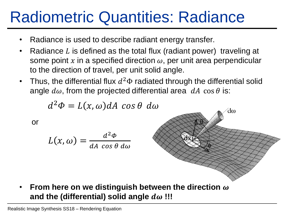### Radiometric Quantities: Radiance

- Radiance is used to describe radiant energy transfer.
- Radiance L is defined as the total flux (radiant power) traveling at some point x in a specified direction  $\omega$ , per unit area perpendicular to the direction of travel, per unit solid angle.
- Thus, the differential flux  $d^2\Phi$  radiated through the differential solid angle  $d\omega$ , from the projected differential area  $dA \cos\theta$  is:

$$
d^2\Phi = L(x,\omega)dA\;\cos\theta\;d\omega
$$

or

$$
L(x,\omega) = \frac{d^2\Phi}{dA\,\cos\theta\,d\omega}
$$



**• From here on we distinguish between the direction**  $\omega$ and the (differential) solid angle  $d\omega$ !!!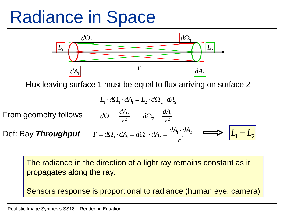### Radiance in Space



Flux leaving surface 1 must be equal to flux arriving on surface 2

$$
L_1 \cdot d\Omega_1 \cdot dA_1 = L_2 \cdot d\Omega_2 \cdot dA_2
$$
  
From geometry follows 
$$
d\Omega_1 = \frac{dA_2}{r^2} \qquad d\Omega_2 = \frac{dA_1}{r^2}
$$
  
Def: Ray **Throughout** 
$$
T = d\Omega_1 \cdot dA_1 = d\Omega_2 \cdot dA_2 = \frac{dA_1 \cdot dA_2}{r^2} \qquad \Longrightarrow \qquad L_1 = L_2
$$
  
The radiance in the direction of a light ray remains constant as it propagates along the ray.  
Sensors response is proportional to radiance (human eye, camera)

The radiance in the direction of a light ray remains constant as it propagates along the ray.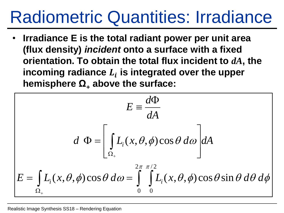### Radiometric Quantities: Irradiance

• **Irradiance E is the total radiant power per unit area (flux density)** *incident* **onto a surface with a fixed orientation. To obtain the total flux incident to** *dA***, the**  incoming radiance  $L_i$  is integrated over the upper **hemisphere Ω<sup>+</sup> above the surface:** 

$$
E = \frac{d\Phi}{dA}
$$
  

$$
d \Phi = \left[ \int_{\Omega_+} L_i(x, \theta, \phi) \cos \theta \, d\omega \right] dA
$$
  

$$
E = \int_{\Omega_+} L_i(x, \theta, \phi) \cos \theta \, d\omega = \int_{0}^{2\pi} \int_{0}^{\pi/2} L_i(x, \theta, \phi) \cos \theta \sin \theta \, d\theta \, d\phi
$$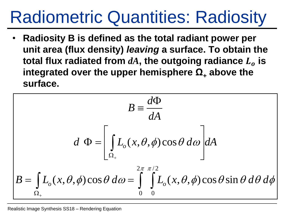## Radiometric Quantities: Radiosity

• **Radiosity B is defined as the total radiant power per unit area (flux density)** *leaving* **a surface. To obtain the total flux radiated from**  $dA$ **, the outgoing radiance**  $L<sub>o</sub>$  **is** integrated over the upper hemisphere  $\Omega$ <sub>+</sub> above the **surface.**

$$
B = \frac{d\Phi}{dA}
$$
  

$$
d \Phi = \left[ \int_{\Omega_+} L_o(x, \theta, \phi) \cos \theta \, d\omega \right] dA
$$
  

$$
B = \int_{\Omega_+} L_o(x, \theta, \phi) \cos \theta \, d\omega = \int_{0}^{2\pi} \int_{0}^{\pi/2} L_o(x, \theta, \phi) \cos \theta \sin \theta \, d\theta \, d\phi
$$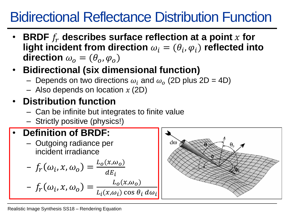### Bidirectional Reflectance Distribution Function

- **BRDF describes surface reflection at a point for**  light incident from direction  $\omega_i = (\theta_i, \varphi_i)$  reflected into **direction**  $\omega_0 = (\theta_0, \varphi_0)$
- **Bidirectional (six dimensional function)**
	- Depends on two directions  $\omega_i$  and  $\omega_o$  (2D plus 2D = 4D)
	- Also depends on location  $x(2D)$

### • **Distribution function**

- Can be infinite but integrates to finite value
- Strictly positive (physics!)

### • **Definition of BRDF:**

– Outgoing radiance per incident irradiance

$$
-f_r(\omega_i, x, \omega_o) = \frac{L_o(x, \omega_o)}{dE_i}
$$

$$
- f_r(\omega_i, x, \omega_o) = \frac{L_o(x, \omega_o)}{L_i(x, \omega_i) \cos \theta_i d\omega_i}
$$

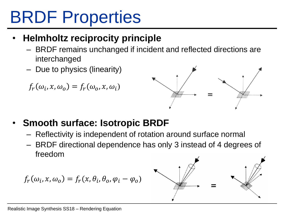## BRDF Properties

#### • **Helmholtz reciprocity principle**

- BRDF remains unchanged if incident and reflected directions are interchanged
- Due to physics (linearity)

$$
f_r(\omega_i, x, \omega_o) = f_r(\omega_o, x, \omega_i)
$$



- **Smooth surface: Isotropic BRDF**
	- Reflectivity is independent of rotation around surface normal
	- BRDF directional dependence has only 3 instead of 4 degrees of freedom

$$
f_r(\omega_i, x, \omega_o) = f_r(x, \theta_i, \theta_o, \varphi_i - \varphi_o)
$$

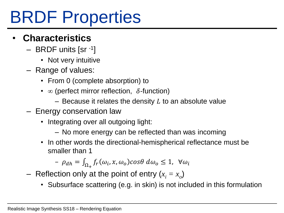## BRDF Properties

#### • **Characteristics**

- BRDF units [sr -1]
	- Not very intuitive
- Range of values:
	- From 0 (complete absorption) to
	- $\infty$  (perfect mirror reflection,  $\delta$ -function)
		- Because it relates the density  $L$  to an absolute value
- Energy conservation law
	- Integrating over all outgoing light:
		- No more energy can be reflected than was incoming
	- In other words the directional-hemispherical reflectance must be smaller than 1

$$
- \rho_{dh} = \int_{\Omega_+} f_r(\omega_i, x, \omega_o) \cos \theta \, d\omega_o \le 1, \ \forall \omega_i
$$

- $-$  Reflection only at the point of entry  $(x_i = x_o)$ 
	- Subsurface scattering (e.g. in skin) is not included in this formulation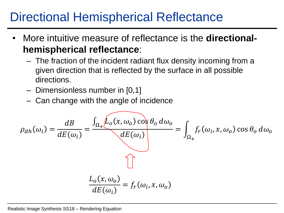### Directional Hemispherical Reflectance

- More intuitive measure of reflectance is the **directionalhemispherical reflectance**:
	- The fraction of the incident radiant flux density incoming from a given direction that is reflected by the surface in all possible directions.
	- Dimensionless number in [0,1]
	- Can change with the angle of incidence

$$
\rho_{dh}(\omega_i) = \frac{dB}{dE(\omega_i)} = \frac{\int_{\Omega_+} \widehat{L_o(x, \omega_o) \cos \theta_o d\omega_o}}{dE(\omega_i)} = \int_{\Omega_+} f_r(\omega_i, x, \omega_o) \cos \theta_o d\omega_o
$$
  

$$
\frac{L_o(x, \omega_o)}{dE(\omega_i)} = f_r(\omega_i, x, \omega_o)
$$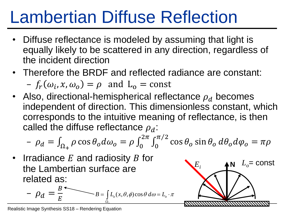## Lambertian Diffuse Reflection

- Diffuse reflectance is modeled by assuming that light is equally likely to be scattered in any direction, regardless of the incident direction
- Therefore the BRDF and reflected radiance are constant:  $-f_r(\omega_i, x, \omega_o) = \rho$  and  $L_o = \text{const}$
- Also, directional-hemispherical reflectance  $\rho_d$  becomes independent of direction. This dimensionless constant, which corresponds to the intuitive meaning of reflectance, is then called the diffuse reflectance  $\rho_d$ :

$$
- \rho_d = \int_{\Omega_+} \rho \cos \theta_o d\omega_o = \rho \int_0^{2\pi} \int_0^{\pi/2} \cos \theta_o \sin \theta_o d\theta_o d\varphi_o = \pi \rho
$$

 $E_i$  **AN**  $L_o$ = const

• Irradiance  $E$  and radiosity  $B$  for the Lambertian surface are related as:

$$
-\rho_d = \frac{B}{E}
$$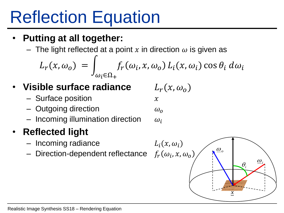# Reflection Equation

### • **Putting at all together:**

– The light reflected at a point x in direction  $\omega$  is given as

$$
L_r(x, \omega_o) = \int_{\omega_i \in \Omega_+} f_r(\omega_i, x, \omega_o) L_i(x, \omega_i) \cos \theta_i d\omega_i
$$

### • Visible surface radiance  $L_r(x, \omega_o)$

- $-$  Surface position  $x$
- Outgoing direction  $\omega_o$
- Incoming illumination direction

### • **Reflected light**

- $-$  Incoming radiance
- Direction-dependent reflectance

$$
\omega_i
$$
\n
$$
L_i(x, \omega_i)
$$
\n
$$
\omega_e
$$

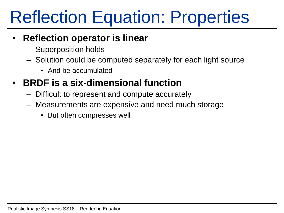## Reflection Equation: Properties

#### • **Reflection operator is linear**

- Superposition holds
- Solution could be computed separately for each light source
	- And be accumulated

#### • **BRDF is a six-dimensional function**

- Difficult to represent and compute accurately
- Measurements are expensive and need much storage
	- But often compresses well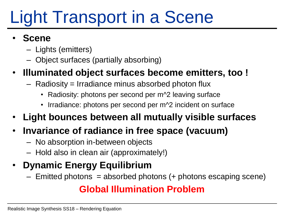# Light Transport in a Scene

#### • **Scene**

- Lights (emitters)
- Object surfaces (partially absorbing)

#### • **Illuminated object surfaces become emitters, too !**

- $-$  Radiosity = Irradiance minus absorbed photon flux
	- Radiosity: photons per second per m^2 leaving surface
	- Irradiance: photons per second per m<sup>2</sup> incident on surface
- **Light bounces between all mutually visible surfaces**

### • **Invariance of radiance in free space (vacuum)**

- No absorption in-between objects
- Hold also in clean air (approximately!)

### • **Dynamic Energy Equilibrium**

 $-$  Emitted photons = absorbed photons  $(+)$  photons escaping scene)

#### **Global Illumination Problem**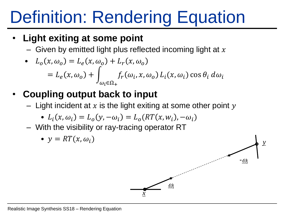# Definition: Rendering Equation

#### • **Light exiting at some point**

– Given by emitted light plus reflected incoming light at  $x$ 

• 
$$
L_o(x, \omega_o) = L_e(x, \omega_o) + L_r(x, \omega_o)
$$
  
=  $L_e(x, \omega_o) + \int_{\omega_i \in \Omega_+} f_r(\omega_i, x, \omega_o) L_i(x, \omega_i) \cos \theta_i d\omega_i$ 

- **Coupling output back to input**
	- Light incident at x is the light exiting at some other point  $y$

• 
$$
L_i(x, \omega_i) = L_o(y, -\omega_i) = L_o(RT(x, w_i), -\omega_i)
$$

– With the visibility or ray-tracing operator RT

• 
$$
y = RT(x, \omega_i)
$$

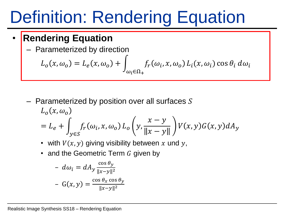## Definition: Rendering Equation

#### • **Rendering Equation**

– Parameterized by direction

$$
L_o(x, \omega_o) = L_e(x, \omega_o) + \int_{\omega_i \in \Omega_+} f_r(\omega_i, x, \omega_o) L_i(x, \omega_i) \cos \theta_i d\omega_i
$$

- $-$  Parameterized by position over all surfaces S  $L_{\alpha}(x,\omega_{\alpha})$  $= L_e +$  $y \in S$  $f_r(\omega_i, x, \omega_o) L_o \bigm| y,$  $\hat{x} - y$  $\hat{x} - y$  $V(x, y)G(x, y)dA_y$ 
	- with  $V(x, y)$  giving visibility between x und y,
	- and the Geometric Term  $G$  given by

$$
- d\omega_i = dA_y \frac{\cos \theta_y}{\|x - y\|^2}
$$

$$
- G(x, y) = \frac{\cos \theta_x \cos \theta_y}{\|x - y\|^2}
$$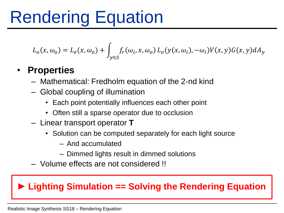## Rendering Equation

$$
L_o(x, \omega_o) = L_e(x, \omega_o) + \int_{y \in S} f_r(\omega_i, x, \omega_o) L_o(y(x, \omega_i), -\omega_i) V(x, y) G(x, y) dA_y
$$

#### • **Properties**

- Mathematical: Fredholm equation of the 2-nd kind
- Global coupling of illumination
	- Each point potentially influences each other point
	- Often still a sparse operator due to occlusion
- Linear transport operator **T**
	- Solution can be computed separately for each light source
		- And accumulated
		- Dimmed lights result in dimmed solutions
- Volume effects are not considered !!

#### **► Lighting Simulation == Solving the Rendering Equation**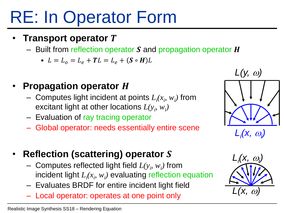## RE: In Operator Form

#### • **Transport operator**

– Built from reflection operator  $S$  and propagation operator  $H$ 

• 
$$
L = L_o = L_e + T L = L_e + (S \circ H)L
$$

#### **Propagation operator H**

- $-$  Computes light incident at points  $L_i(x_i, w_i)$  from excitant light at other locations  $L(y_i, w_i)$
- Evaluation of ray tracing operator
- Global operator: needs essentially entire scene
- **Reflection (scattering) operator** 
	- $-$  Computes reflected light field  $L(y_i, w_i)$  from incident light  $L_i(x_i, w_i)$  evaluating reflection equation
	- Evaluates BRDF for entire incident light field
	- Local operator: operates at one point only



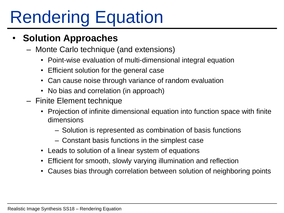# Rendering Equation

#### • **Solution Approaches**

- Monte Carlo technique (and extensions)
	- Point-wise evaluation of multi-dimensional integral equation
	- Efficient solution for the general case
	- Can cause noise through variance of random evaluation
	- No bias and correlation (in approach)
- Finite Element technique
	- Projection of infinite dimensional equation into function space with finite dimensions
		- Solution is represented as combination of basis functions
		- Constant basis functions in the simplest case
	- Leads to solution of a linear system of equations
	- Efficient for smooth, slowly varying illumination and reflection
	- Causes bias through correlation between solution of neighboring points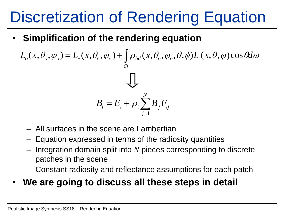### Discretization of Rendering Equation

• **Simplification of the rendering equation**

 $L_o(x, \theta_o, \varphi_o) = L_e(x, \theta_o, \varphi_o) + \int \rho_{bd}(x, \theta_o, \varphi_o, \theta, \phi) L_i(x, \theta, \varphi) \cos \theta d\omega$  $\Omega$  $= L_{\rho}(x,\theta_{\rho},\varphi_{\rho}) + |\rho_{bd}(x,\theta_{\rho},\varphi_{\rho},\theta,\phi)L_{i}$ *ij N j*  $B_i = E_i + \rho_i \sum B_j F_i$ =  $=E_{i}+$ 1  $\rho_{\scriptscriptstyle \rm I}$ 

- All surfaces in the scene are Lambertian
- Equation expressed in terms of the radiosity quantities
- Integration domain split into *N* pieces corresponding to discrete patches in the scene
- Constant radiosity and reflectance assumptions for each patch

#### • **We are going to discuss all these steps in detail**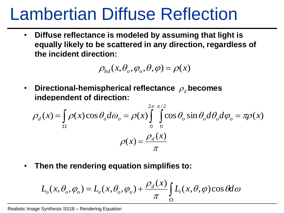### Lambertian Diffuse Reflection

• **Diffuse reflectance is modeled by assuming that light is equally likely to be scattered in any direction, regardless of the incident direction:** 

$$
\rho_{bd}(x,\theta_o,\varphi_o,\theta,\varphi)=\rho(x)
$$

• Directional-hemispherical reflectance  $\rho_{\scriptscriptstyle d}$  becomes **independent of direction:**

$$
\rho_d(x) = \int_{\Omega} \rho(x) \cos \theta_o d\omega_o = \rho(x) \int_{0}^{2\pi} \int_{0}^{\pi/2} \cos \theta_o \sin \theta_o d\theta_o d\varphi_o = \pi \rho(x)
$$

$$
\rho(x) = \frac{\rho_d(x)}{\pi}
$$

• **Then the rendering equation simplifies to:**

$$
L_o(x, \theta_o, \varphi_o) = L_e(x, \theta_o, \varphi_o) + \frac{\rho_d(x)}{\pi} \int_{\Omega} L_i(x, \theta, \varphi) \cos \theta d\omega
$$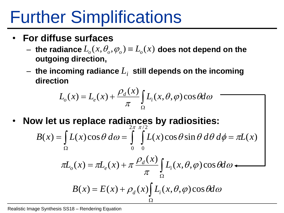### Further Simplifications

- **For diffuse surfaces**
	- $L \textbf{the } \textbf{r}$  adiance  $L_{o}(x,\theta_{o},\varphi_{o}) \equiv L_{o}(x) \textbf{ does not depend on the } \varphi$ **outgoing direction,**
	- $-$  the incoming radiance  $L_i\;$  still depends on the incoming **direction**

$$
L_o(x) = L_e(x) + \frac{\rho_d(x)}{\pi} \int_{\Omega} L_i(x, \theta, \varphi) \cos \theta d\omega
$$

• **Now let us replace radiances by radiosities:**

$$
B(x) = \int_{\Omega} L(x) \cos \theta \, d\omega = \int_{0}^{2\pi} \int_{0}^{\pi/2} L(x) \cos \theta \sin \theta \, d\theta \, d\phi = \pi L(x)
$$

$$
\pi L_o(x) = \pi L_e(x) + \pi \frac{\rho_d(x)}{\pi} \int_{\Omega} L_i(x, \theta, \varphi) \cos \theta d\omega
$$

$$
B(x) = E(x) + \rho_d(x) \int_{\Omega} L_i(x, \theta, \varphi) \cos \theta d\omega
$$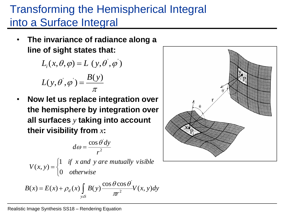### Transforming the Hemispherical Integral into a Surface Integral

• **The invariance of radiance along a line of sight states that:**

$$
L_i(x, \theta, \varphi) = L(y, \theta', \varphi')
$$

$$
L(y, \theta^{\prime}, \varphi^{\prime}) = \frac{B(y)}{\pi}
$$

• **Now let us replace integration over the hemisphere by integration over all surfaces** *y* **taking into account their visibility from** *x***:**

$$
d\omega = \frac{\cos \theta' dy}{r^2}
$$

*otherwise if x and y are mutually visible*  $V(x, y)$ 0 1  $(x, y)$  $\overline{\mathcal{L}}$  $\left\{ \right.$  $\int$  $=$ 

$$
B(x) = E(x) + \rho_d(x) \int_{y \in S} B(y) \frac{\cos \theta \cos \theta}{\pi r^2} V(x, y) dy
$$

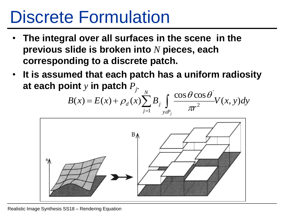## Discrete Formulation

- **The integral over all surfaces in the scene in the previous slide is broken into** *N* **pieces, each corresponding to a discrete patch.**
- **It is assumed that each patch has a uniform radiosity at each point** *y* **in patch** *P<sup>j</sup> .* '

$$
B(x) = E(x) + \rho_d(x) \sum_{j=1}^{N} B_j \int_{y \in P_j} \frac{\cos \theta \cos \theta}{\pi r^2} V(x, y) dy
$$